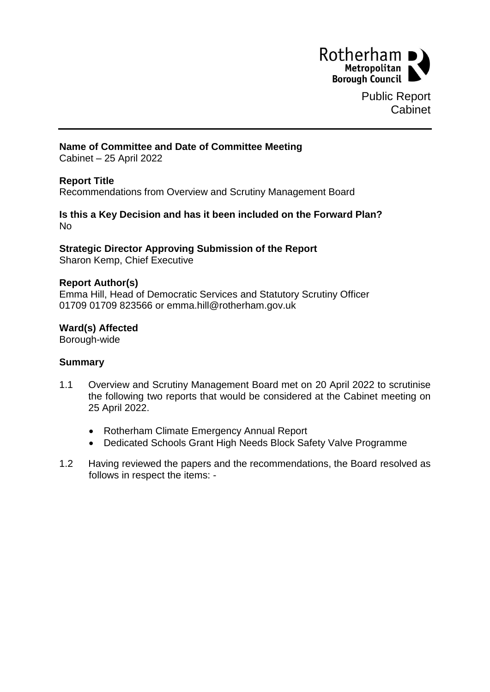

Public Report Cabinet

## **Name of Committee and Date of Committee Meeting**

Cabinet – 25 April 2022

## **Report Title**

Recommendations from Overview and Scrutiny Management Board

#### **Is this a Key Decision and has it been included on the Forward Plan?** No

# **Strategic Director Approving Submission of the Report**

Sharon Kemp, Chief Executive

#### **Report Author(s)**

Emma Hill, Head of Democratic Services and Statutory Scrutiny Officer 01709 01709 823566 or emma.hill@rotherham.gov.uk

## **Ward(s) Affected**

Borough-wide

## **Summary**

- 1.1 Overview and Scrutiny Management Board met on 20 April 2022 to scrutinise the following two reports that would be considered at the Cabinet meeting on 25 April 2022.
	- Rotherham Climate Emergency Annual Report
	- Dedicated Schools Grant High Needs Block Safety Valve Programme
- 1.2 Having reviewed the papers and the recommendations, the Board resolved as follows in respect the items: -